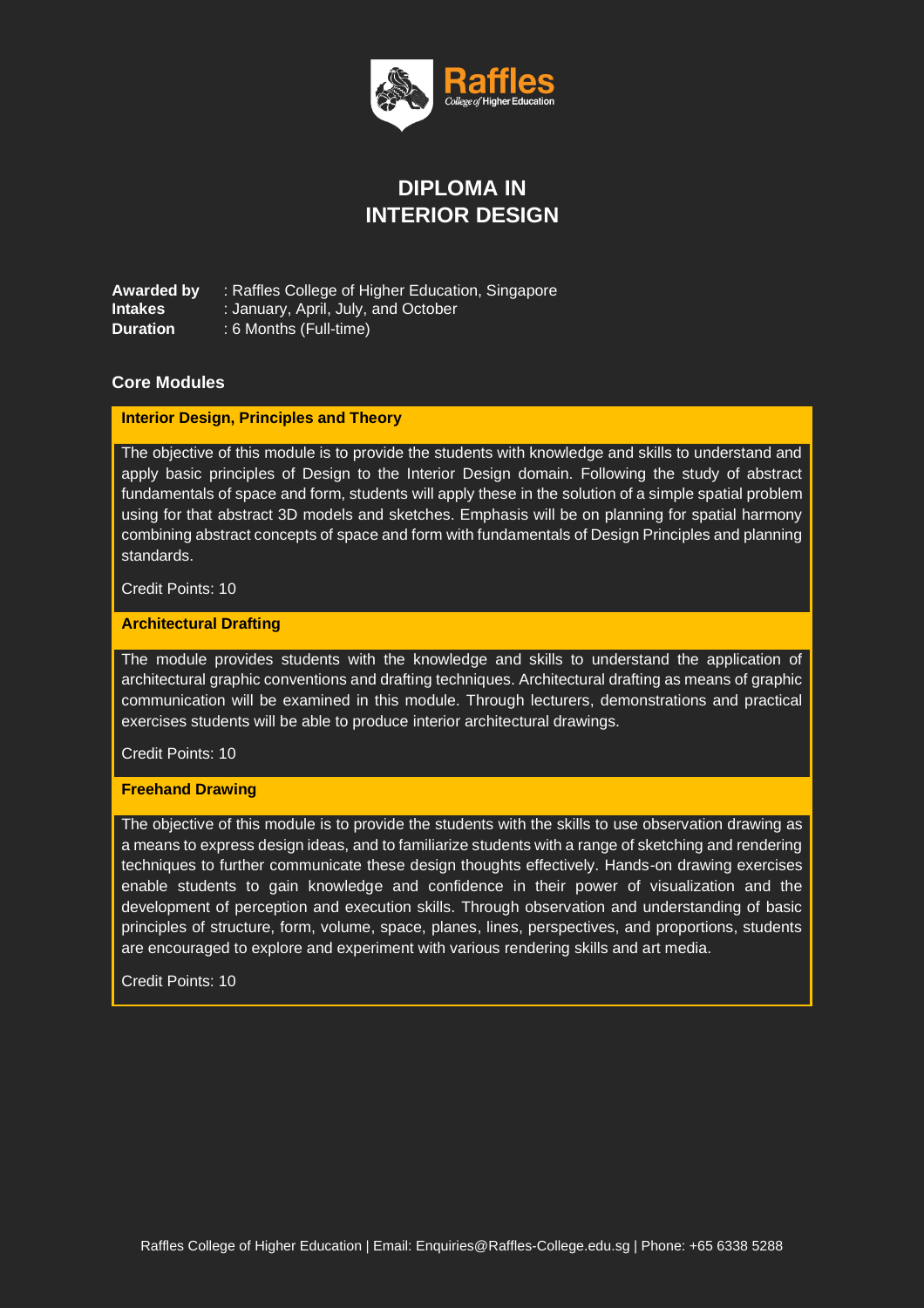

# **DIPLOMA IN INTERIOR DESIGN**

**Awarded by** : Raffles College of Higher Education, Singapore **Intakes** : January, April, July, and October **Duration** : 6 Months (Full-time)

## **Core Modules**

### **Interior Design, Principles and Theory**

The objective of this module is to provide the students with knowledge and skills to understand and apply basic principles of Design to the Interior Design domain. Following the study of abstract fundamentals of space and form, students will apply these in the solution of a simple spatial problem using for that abstract 3D models and sketches. Emphasis will be on planning for spatial harmony combining abstract concepts of space and form with fundamentals of Design Principles and planning standards.

Credit Points: 10

#### **Architectural Drafting**

The module provides students with the knowledge and skills to understand the application of architectural graphic conventions and drafting techniques. Architectural drafting as means of graphic communication will be examined in this module. Through lecturers, demonstrations and practical exercises students will be able to produce interior architectural drawings.

Credit Points: 10

### **Freehand Drawing**

The objective of this module is to provide the students with the skills to use observation drawing as a means to express design ideas, and to familiarize students with a range of sketching and rendering techniques to further communicate these design thoughts effectively. Hands-on drawing exercises enable students to gain knowledge and confidence in their power of visualization and the development of perception and execution skills. Through observation and understanding of basic principles of structure, form, volume, space, planes, lines, perspectives, and proportions, students are encouraged to explore and experiment with various rendering skills and art media.

Credit Points: 10